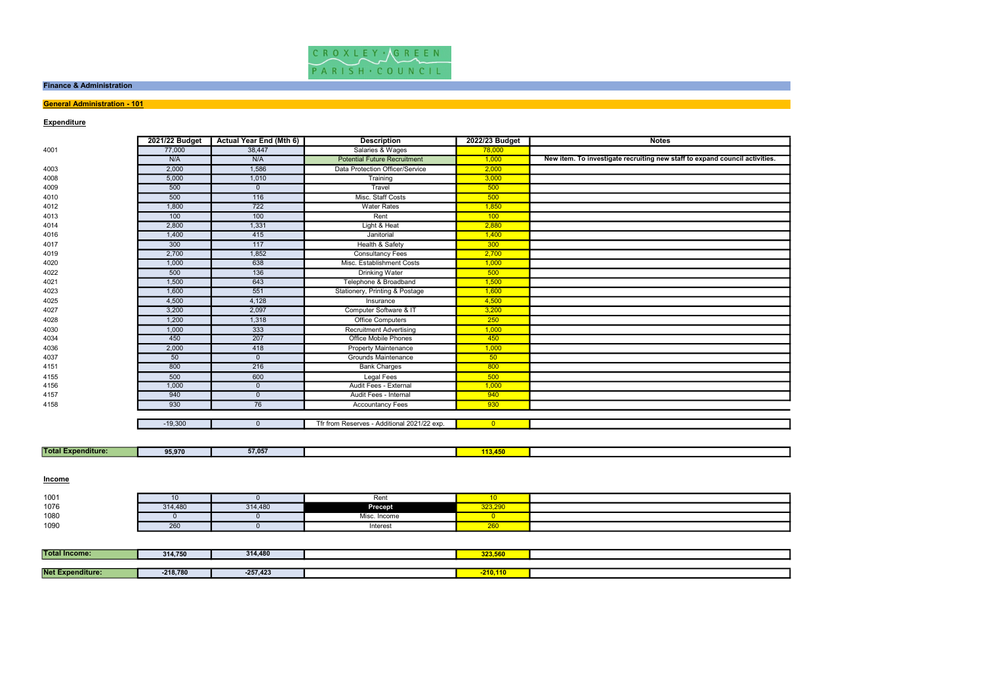

#### Finance & Administration

## **General Administration - 101**

| <b>Expenditure</b>        |                |                                |                                             |                |                                                                             |
|---------------------------|----------------|--------------------------------|---------------------------------------------|----------------|-----------------------------------------------------------------------------|
|                           | 2021/22 Budget | <b>Actual Year End (Mth 6)</b> | <b>Description</b>                          | 2022/23 Budget | <b>Notes</b>                                                                |
| 4001                      | 77,000         | 38,447                         | Salaries & Wages                            | 78,000         |                                                                             |
|                           | N/A            | N/A                            | <b>Potential Future Recruitment</b>         | 1,000          | New item. To investigate recruiting new staff to expand council activities. |
| 4003                      | 2,000          | 1,586                          | Data Protection Officer/Service             | 2,000          |                                                                             |
| 4008                      | 5,000          | 1,010                          | Training                                    | 3,000          |                                                                             |
| 4009                      | 500            | $\mathbf 0$                    | Travel                                      | 500            |                                                                             |
| 4010                      | 500            | 116                            | Misc. Staff Costs                           | 500            |                                                                             |
| 4012                      | 1,800          | 722                            | <b>Water Rates</b>                          | 1,850          |                                                                             |
| 4013                      | 100            | 100                            | Rent                                        | 100            |                                                                             |
| 4014                      | 2,800          | 1,331                          | Light & Heat                                | 2,880          |                                                                             |
| 4016                      | 1,400          | 415                            | Janitorial                                  | 1,400          |                                                                             |
| 4017                      | 300            | 117                            | Health & Safety                             | 300            |                                                                             |
| 4019                      | 2,700          | 1,852                          | <b>Consultancy Fees</b>                     | 2,700          |                                                                             |
| 4020                      | 1,000          | 638                            | Misc. Establishment Costs                   | 1,000          |                                                                             |
| 4022                      | 500            | $\overline{136}$               | <b>Drinking Water</b>                       | 500            |                                                                             |
| 4021                      | 1,500          | 643                            | Telephone & Broadband                       | 1,500          |                                                                             |
| 4023                      | 1,600          | 551                            | Stationery, Printing & Postage              | 1,600          |                                                                             |
| 4025                      | 4,500          | 4,128                          | Insurance                                   | 4,500          |                                                                             |
| 4027                      | 3,200          | 2,097                          | Computer Software & IT                      | 3,200          |                                                                             |
| 4028                      | 1,200          | 1,318                          | <b>Office Computers</b>                     | 250            |                                                                             |
| 4030                      | 1,000          | 333                            | <b>Recruitment Advertising</b>              | 1,000          |                                                                             |
| 4034                      | 450            | 207                            | <b>Office Mobile Phones</b>                 | 450            |                                                                             |
| 4036                      | 2,000          | 418                            | <b>Property Maintenance</b>                 | 1,000          |                                                                             |
| 4037                      | 50             | $\overline{0}$                 | <b>Grounds Maintenance</b>                  | 50             |                                                                             |
| 4151                      | 800            | 216                            | <b>Bank Charges</b>                         | 800            |                                                                             |
| 4155                      | 500            | 600                            | <b>Legal Fees</b>                           | 500            |                                                                             |
| 4156                      | 1,000          | $\mathbf 0$                    | Audit Fees - External                       | 1,000          |                                                                             |
| 4157                      | 940            | $\mathbf 0$                    | Audit Fees - Internal                       | 940            |                                                                             |
| 4158                      | 930            | 76                             | <b>Accountancy Fees</b>                     | 930            |                                                                             |
|                           |                |                                |                                             |                |                                                                             |
|                           | $-19,300$      | $\mathbf 0$                    | Tfr from Reserves - Additional 2021/22 exp. | $\overline{0}$ |                                                                             |
|                           |                |                                |                                             |                |                                                                             |
| <b>Total Expenditure:</b> | 95,970         | 57,057                         |                                             | 113,450        |                                                                             |
| Income                    |                |                                |                                             |                |                                                                             |
|                           |                |                                |                                             |                |                                                                             |
| 1001                      | 10             | $\mathbf 0$                    | Rent                                        | 10             |                                                                             |
| 1076                      | 314,480        | 314,480                        | Precept                                     | 323,290        |                                                                             |
| 1080                      | $\overline{0}$ | $\mathbf 0$                    | Misc. Income                                | $\overline{0}$ |                                                                             |
| 1090                      | 260            | $\overline{0}$                 | Interest                                    | 260            |                                                                             |
|                           |                |                                |                                             |                |                                                                             |
| <b>Total Income:</b>      | 314,750        | 314,480                        |                                             | 323,560        |                                                                             |
|                           |                |                                |                                             |                |                                                                             |
| Not Expondituro:          | 040,700        | $257.422$                      |                                             | 240,440        |                                                                             |

| 1001 |         |         | Rem            |            |  |
|------|---------|---------|----------------|------------|--|
| 1076 | 314,480 | 314.480 | <b>Precept</b> | 323.290    |  |
| 1080 |         |         | Misc<br>Income |            |  |
| 1090 | 260     |         | Interest       | ---<br>∠∪⊾ |  |

| <b>Total Income:</b>    | 314,750    | 314,480    | 323,560        |  |
|-------------------------|------------|------------|----------------|--|
|                         |            |            |                |  |
| <b>Net Expenditure:</b> | $-218,780$ | $-257,423$ | <b>210,110</b> |  |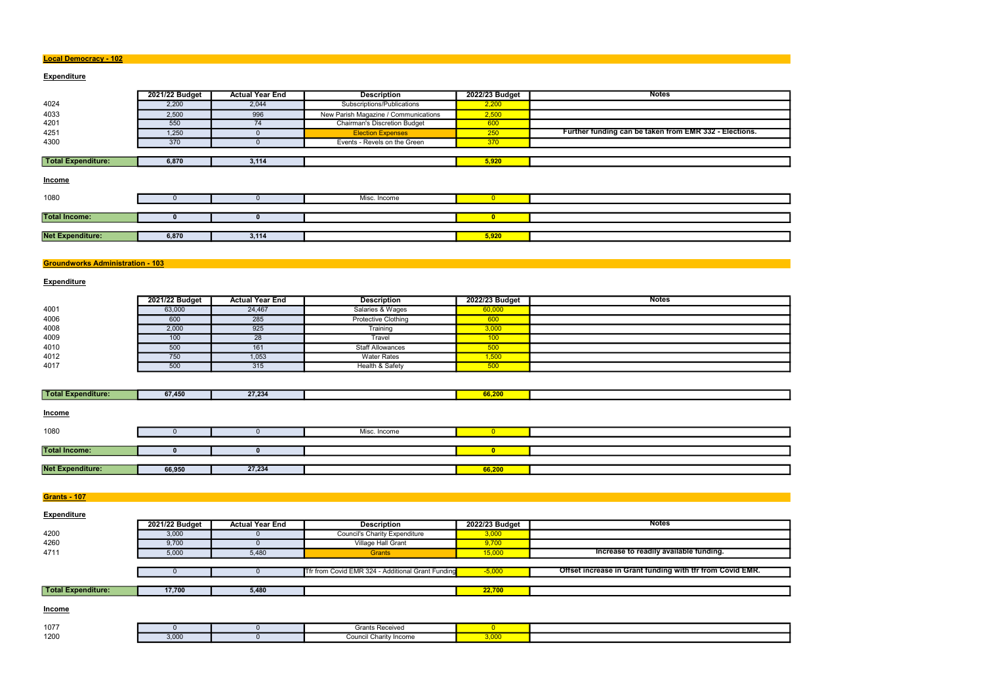#### Local Democracy - 102

## **Expenditure**

|                         | 2021/22 Budget | <b>Actual Year End</b> | <b>Description</b>                   | 2022/23 Budget | <b>Notes</b>                                           |
|-------------------------|----------------|------------------------|--------------------------------------|----------------|--------------------------------------------------------|
| 4024                    | 2,200          | 2,044                  | Subscriptions/Publications           | 2,200          |                                                        |
| 4033                    | 2,500          | 996                    | New Parish Magazine / Communications | 2,500          |                                                        |
| 4201                    | 550            | 74                     | <b>Chairman's Discretion Budget</b>  | 600            |                                                        |
| 4251                    | 1,250          | $\mathbf{U}$           | <b>Election Expenses</b>             | 250            | Further funding can be taken from EMR 332 - Elections. |
| 4300                    | 370            | 0                      | Events - Revels on the Green         | 370            |                                                        |
|                         |                |                        |                                      |                |                                                        |
| Total Expenditure:      | 6,870          | 3,114                  |                                      | 5,920          |                                                        |
| <b>Income</b>           |                |                        |                                      |                |                                                        |
| 1080                    |                |                        | Misc. Income                         | $\overline{0}$ |                                                        |
|                         |                |                        |                                      |                |                                                        |
| <b>Total Income:</b>    |                | $\bf{0}$               |                                      | $\bullet$      |                                                        |
|                         |                |                        |                                      |                |                                                        |
| <b>Net Expenditure:</b> | 6,870          | 3,114                  |                                      | 5,920          |                                                        |
|                         |                |                        |                                      |                |                                                        |

## Groundworks Administration - 103

## **Expenditure**

|      | 2021/22 Budget | <b>Actual Year End</b> | <b>Description</b>         | 2022/23 Budget | <b>Notes</b> |
|------|----------------|------------------------|----------------------------|----------------|--------------|
| 4001 | 63,000         | 24,467                 | Salaries & Wages           | 60,000         |              |
| 4006 | 600            | 285                    | <b>Protective Clothing</b> | 600            |              |
| 4008 | 2,000          | 925                    | Training                   | 3,000          |              |
| 4009 | 100            | 28                     | Travel                     | 100            |              |
| 4010 | 500            | 161                    | <b>Staff Allowances</b>    | 500            |              |
| 4012 | 750            | 1,053                  | <b>Water Rates</b>         | 1,500          |              |
| 4017 | 500            | 315                    | Health & Safety            | 500            |              |

| <b>Total</b><br><b>NExpenditure:</b> | 67,450 | 27.234 |  |  |
|--------------------------------------|--------|--------|--|--|
|                                      |        |        |  |  |

| <b>Income</b>           |        |        |              |        |  |
|-------------------------|--------|--------|--------------|--------|--|
| 1080                    |        |        | Misc. Income |        |  |
|                         |        |        |              |        |  |
| <b>Total Income:</b>    |        |        |              |        |  |
|                         |        |        |              |        |  |
| <b>Net Expenditure:</b> | 66,950 | 27,234 |              | 66,200 |  |

**Grants - 107** 

| <b>Expenditure</b>        |                |                        |                                                   |                |                                                           |
|---------------------------|----------------|------------------------|---------------------------------------------------|----------------|-----------------------------------------------------------|
|                           | 2021/22 Budget | <b>Actual Year End</b> | <b>Description</b>                                | 2022/23 Budget | <b>Notes</b>                                              |
| 4200                      | 3,000          |                        | <b>Council's Charity Expenditure</b>              | 3,000          |                                                           |
| 4260                      | 9,700          |                        | Village Hall Grant                                | 9,700          |                                                           |
| 4711                      | 5,000          | 5,480                  | <b>Grants</b>                                     | 15,000         | Increase to readily available funding.                    |
|                           |                |                        |                                                   |                |                                                           |
|                           |                |                        | Tfr from Covid EMR 324 - Additional Grant Funding | $-5,000$       | Offset increase in Grant funding with tfr from Covid EMR. |
|                           |                |                        |                                                   |                |                                                           |
| <b>Total Expenditure:</b> | 17,700         | 5,480                  |                                                   | 22,700         |                                                           |
|                           |                |                        |                                                   |                |                                                           |

**Income** 

| 1077 |                        | Grants Receive                |                        |  |
|------|------------------------|-------------------------------|------------------------|--|
| 1200 | 0.000<br><b>J</b> ,UUU | . .<br>Council Charity Income | n nnn.<br><u>u,uuu</u> |  |

| วทร<br>I<br>ľ |  |
|---------------|--|
|               |  |
|               |  |
|               |  |
|               |  |
|               |  |
|               |  |
|               |  |
|               |  |
|               |  |
|               |  |
|               |  |
|               |  |
|               |  |
|               |  |
|               |  |
|               |  |
|               |  |
|               |  |
|               |  |
|               |  |
|               |  |
|               |  |
|               |  |
|               |  |
|               |  |
|               |  |
|               |  |
|               |  |
|               |  |
|               |  |
|               |  |
|               |  |
|               |  |
|               |  |
|               |  |
|               |  |
|               |  |
|               |  |
|               |  |
|               |  |
|               |  |
|               |  |
|               |  |
|               |  |
|               |  |
|               |  |
|               |  |
|               |  |
|               |  |
|               |  |
|               |  |
|               |  |
|               |  |
| EMR           |  |
|               |  |
|               |  |
|               |  |
|               |  |
|               |  |
|               |  |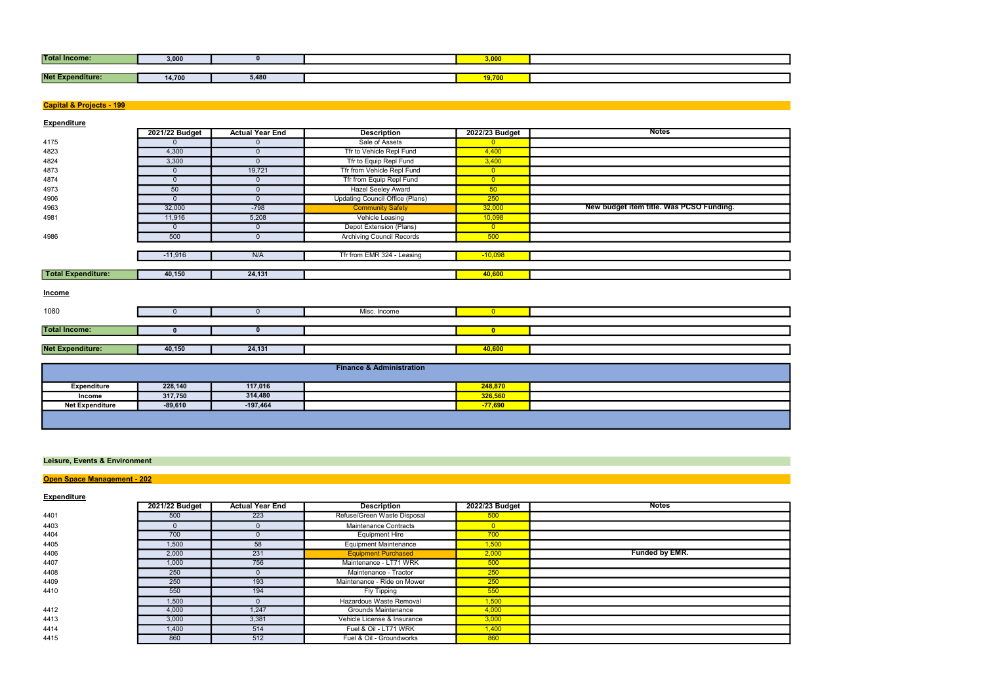| <b>Total Income:</b> | 3,000  |       | 00 <sup>0</sup><br>,uu        |  |
|----------------------|--------|-------|-------------------------------|--|
|                      |        |       |                               |  |
| Net Ex<br>enditure:  | 14,700 | 5,480 | $\mathbf{A}$ and $\mathbf{A}$ |  |

## Capital & Projects - 199

**Expenditure** 

|                           | 2021/22 Budget | <b>Actual Year End</b> | <b>Description</b>                     | 2022/23 Budget  | <b>Notes</b>                             |
|---------------------------|----------------|------------------------|----------------------------------------|-----------------|------------------------------------------|
| 4175                      | $\mathbf{0}$   | $\mathbf{0}$           | Sale of Assets                         | $\overline{0}$  |                                          |
| 4823                      | 4,300          | $\Omega$               | Tfr to Vehicle Repl Fund               | 4,400           |                                          |
| 4824                      | 3,300          | $\Omega$               | Tfr to Equip Repl Fund                 | 3,400           |                                          |
| 4873                      | $\mathbf{0}$   | 19,721                 | Tfr from Vehicle Repl Fund             | $\overline{0}$  |                                          |
| 4874                      | $\mathbf{0}$   | $\Omega$               | Tfr from Equip Repl Fund               | $\overline{0}$  |                                          |
| 4973                      | 50             | $\mathbf{0}$           | <b>Hazel Seeley Award</b>              | 50 <sub>o</sub> |                                          |
| 4906                      | $\mathbf{0}$   | $\Omega$               | <b>Updating Council Office (Plans)</b> | 250             |                                          |
| 4963                      | 32,000         | $-798$                 | <b>Community Safety</b>                | 32,000          | New budget item title. Was PCSO Funding. |
| 4981                      | 11,916         | 5,208                  | Vehicle Leasing                        | 10,098          |                                          |
|                           | $\mathbf{0}$   | $\Omega$               | Depot Extension (Plans)                | $\overline{0}$  |                                          |
| 4986                      | 500            | $\mathbf{0}$           | <b>Archiving Council Records</b>       | 500             |                                          |
|                           |                |                        |                                        |                 |                                          |
|                           | $-11,916$      | N/A                    | Tfr from EMR 324 - Leasing             | $-10,098$       |                                          |
|                           |                |                        |                                        |                 |                                          |
| <b>Total Expenditure:</b> | 40,150         | 24,131                 |                                        | 40,600          |                                          |
| Income                    |                |                        |                                        |                 |                                          |
| 1080                      | $\mathbf{0}$   | $\Omega$               | Misc. Income                           | $\overline{0}$  |                                          |
|                           |                |                        |                                        |                 |                                          |
| <b>Total Income:</b>      | $\mathbf{0}$   | $\mathbf{0}$           |                                        | $\bullet$       |                                          |
|                           |                |                        |                                        |                 |                                          |
| <b>Net Expenditure:</b>   | 40,150         | 24,131                 |                                        | 40,600          |                                          |
|                           |                |                        |                                        |                 |                                          |
|                           |                |                        | <b>Finance &amp; Administration</b>    |                 |                                          |
|                           |                |                        |                                        |                 |                                          |

| Expenditure            | 228,140   | 117,016    | 248,870   |  |
|------------------------|-----------|------------|-----------|--|
| Income                 | 317,750   | 314,480    | 326,560   |  |
| <b>Net Expenditure</b> | $-89,610$ | $-197,464$ | $-77.690$ |  |
|                        |           |            |           |  |

## Leisure, Events & Environment

# **Open Space Management - 202**

**Expenditure** 

|      | 2021/22 Budget | <b>Actual Year End</b> | <b>Description</b>           | 2022/23 Budget | <b>Notes</b>   |
|------|----------------|------------------------|------------------------------|----------------|----------------|
| 4401 | 500            | 223                    | Refuse/Green Waste Disposal  | 500            |                |
| 4403 |                |                        | Maintenance Contracts        | $\Omega$       |                |
| 4404 | 700            |                        | <b>Equipment Hire</b>        | 700            |                |
| 4405 | 1,500          | 58                     | <b>Equipment Maintenance</b> | 1,500          |                |
| 4406 | 2,000          | 231                    | <b>Equipment Purchased</b>   | 2,000          | Funded by EMR. |
| 4407 | 1,000          | 756                    | Maintenance - LT71 WRK       | 500            |                |
| 4408 | 250            |                        | Maintenance - Tractor        | 250            |                |
| 4409 | 250            | 193                    | Maintenance - Ride on Mower  | 250            |                |
| 4410 | 550            | 194                    | Fly Tipping                  | 550            |                |
|      | 1,500          |                        | Hazardous Waste Removal      | 1,500          |                |
| 4412 | 4,000          | 1,247                  | Grounds Maintenance          | 4,000          |                |
| 4413 | 3,000          | 3,381                  | Vehicle License & Insurance  | 3,000          |                |
| 4414 | 1,400          | 514                    | Fuel & Oil - LT71 WRK        | 1,400          |                |
| 4415 | 860            | 512                    | Fuel & Oil - Groundworks     | 860            |                |

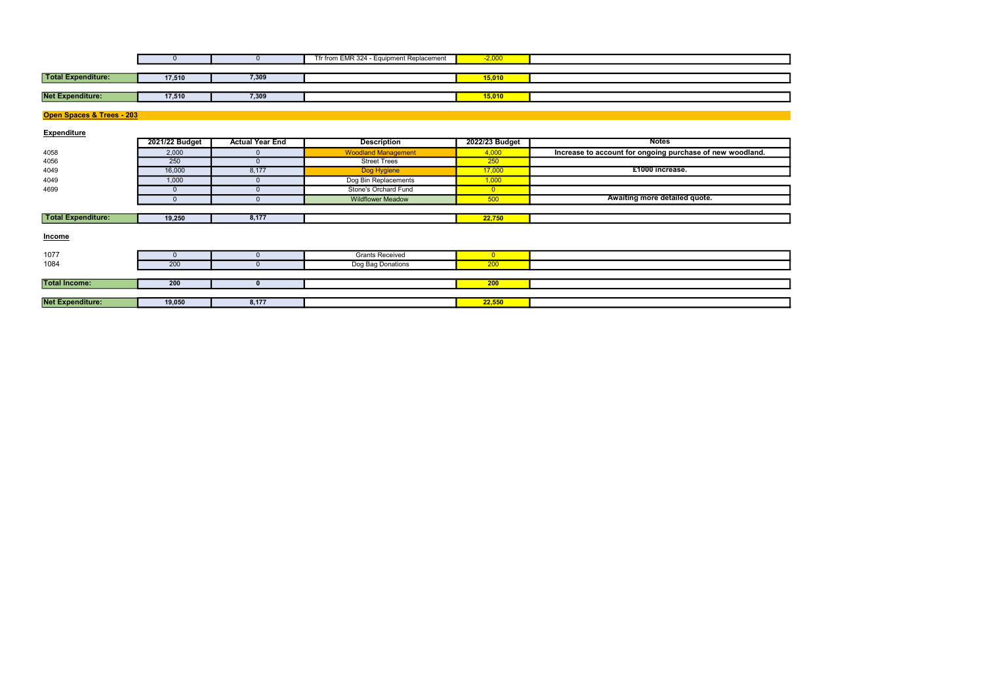|                           |        |       | Tfr from EMR 324 - Equipment Replacement | $-2,000$ |  |
|---------------------------|--------|-------|------------------------------------------|----------|--|
|                           |        |       |                                          |          |  |
| <b>Total Expenditure:</b> | 17,510 | 7,309 |                                          | 15,010   |  |
|                           |        |       |                                          |          |  |
| <b>Net Expenditure:</b>   | 17,510 | 7,309 |                                          | 15,010   |  |

Net Expenditure: 19,050 8,177 22,550

|                           | 0              |                        | Tfr from EMR 324 - Equipment Replacement | $-2,000$       |                                                           |
|---------------------------|----------------|------------------------|------------------------------------------|----------------|-----------------------------------------------------------|
|                           |                |                        |                                          |                |                                                           |
| <b>Total Expenditure:</b> | 17,510         | 7,309                  |                                          | 15,010         |                                                           |
|                           |                |                        |                                          |                |                                                           |
| <b>Net Expenditure:</b>   | 17,510         | 7,309                  |                                          | 15,010         |                                                           |
|                           |                |                        |                                          |                |                                                           |
| Open Spaces & Trees - 203 |                |                        |                                          |                |                                                           |
|                           |                |                        |                                          |                |                                                           |
| <b>Expenditure</b>        |                |                        |                                          |                |                                                           |
|                           | 2021/22 Budget | <b>Actual Year End</b> | <b>Description</b>                       | 2022/23 Budget | <b>Notes</b>                                              |
| 4058                      | 2,000          | $\Omega$               | <b>Woodland Management</b>               | 4,000          | Increase to account for ongoing purchase of new woodland. |
| 4056                      | 250            | $\Omega$               | <b>Street Trees</b>                      | 250            |                                                           |
| 4049                      | 16,000         | 8,177                  | Dog Hygiene                              | 17,000         | £1000 increase.                                           |
| 4049                      | 1,000          | $\Omega$               | Dog Bin Replacements                     | 1,000          |                                                           |
| 4699                      | $\Omega$       | $\Omega$               | Stone's Orchard Fund                     | $\overline{0}$ |                                                           |
|                           | $\Omega$       | $\Omega$               | <b>Wildflower Meadow</b>                 | 500            | Awaiting more detailed quote.                             |
|                           |                |                        |                                          |                |                                                           |
| <b>Total Expenditure:</b> | 19,250         | 8,177                  |                                          | 22,750         |                                                           |
|                           |                |                        |                                          |                |                                                           |
| <b>Income</b>             |                |                        |                                          |                |                                                           |
|                           |                |                        |                                          |                |                                                           |
| 1077                      | $\Omega$       |                        | <b>Grants Received</b>                   | $\overline{0}$ |                                                           |
| 1084                      | 200            |                        | Dog Bag Donations                        | 200            |                                                           |
|                           |                |                        |                                          |                |                                                           |
| <b>Total Income:</b>      | 200            | 0                      |                                          | 200            |                                                           |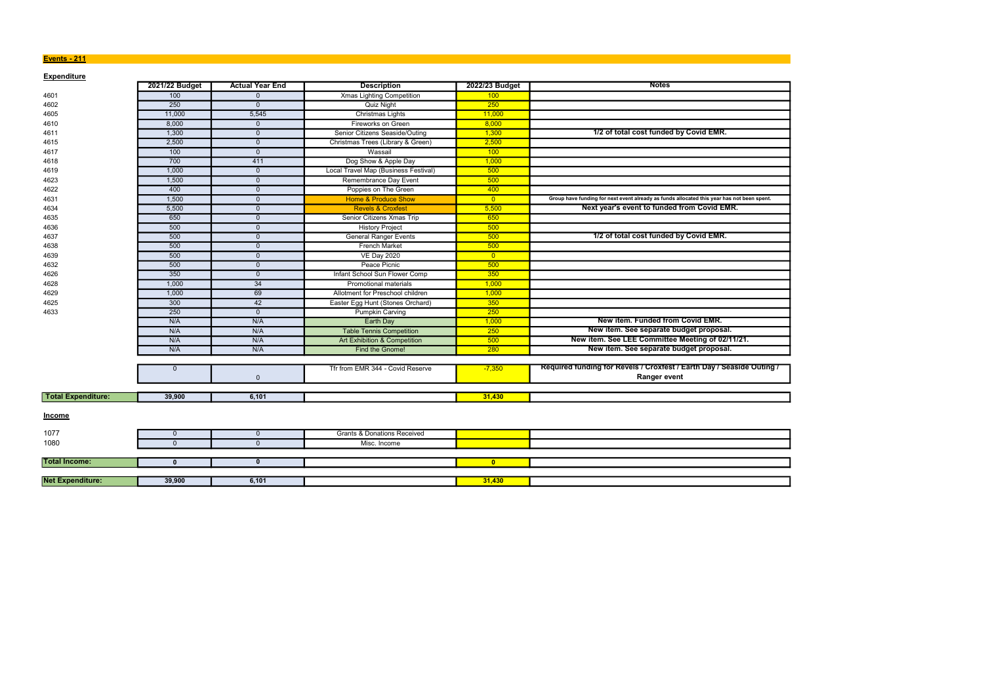#### Events - 211 **Events - 211**

| <b>Expenditure</b>        |                |                        |                                         |                |                                                                                            |
|---------------------------|----------------|------------------------|-----------------------------------------|----------------|--------------------------------------------------------------------------------------------|
|                           | 2021/22 Budget | <b>Actual Year End</b> | <b>Description</b>                      | 2022/23 Budget | <b>Notes</b>                                                                               |
| 4601                      | 100            | $\mathbf{0}$           | <b>Xmas Lighting Competition</b>        | 100            |                                                                                            |
| 4602                      | 250            | $\overline{0}$         | <b>Quiz Night</b>                       | 250            |                                                                                            |
| 4605                      | 11,000         | 5,545                  | Christmas Lights                        | 11,000         |                                                                                            |
| 4610                      | 8,000          | $\mathbf{0}$           | Fireworks on Green                      | 8,000          |                                                                                            |
| 4611                      | 1,300          | $\mathbf 0$            | Senior Citizens Seaside/Outing          | 1,300          | 1/2 of total cost funded by Covid EMR.                                                     |
| 4615                      | 2,500          | $\Omega$               | Christmas Trees (Library & Green)       | 2,500          |                                                                                            |
| 4617                      | 100            | $\mathbf{0}$           | Wassail                                 | 100            |                                                                                            |
| 4618                      | 700            | 411                    | Dog Show & Apple Day                    | 1,000          |                                                                                            |
| 4619                      | 1,000          | $\overline{0}$         | Local Travel Map (Business Festival)    | 500            |                                                                                            |
| 4623                      | 1,500          | $\overline{0}$         | Remembrance Day Event                   | 500            |                                                                                            |
| 4622                      | 400            | $\mathbf{0}$           | Poppies on The Green                    | 400            |                                                                                            |
| 4631                      | 1,500          | $\overline{0}$         | <b>Home &amp; Produce Show</b>          | $\overline{0}$ | Group have funding for next event already as funds allocated this year has not been spent. |
| 4634                      | 5,500          | $\Omega$               | <b>Revels &amp; Croxfest</b>            | 5,500          | Next year's event to funded from Covid EMR.                                                |
| 4635                      | 650            | $\mathbf 0$            | Senior Citizens Xmas Trip               | 650            |                                                                                            |
| 4636                      | 500            | $\overline{0}$         | <b>History Project</b>                  | 500            |                                                                                            |
| 4637                      | 500            | $\mathbf{0}$           | <b>General Ranger Events</b>            | 500            | 1/2 of total cost funded by Covid EMR.                                                     |
| 4638                      | 500            | $\overline{0}$         | <b>French Market</b>                    | 500            |                                                                                            |
| 4639                      | 500            | $\mathbf{0}$           | <b>VE Day 2020</b>                      | $\overline{0}$ |                                                                                            |
| 4632                      | 500            | $\mathbf{0}$           | Peace Picnic                            | 500            |                                                                                            |
| 4626                      | 350            | $\mathbf{0}$           | Infant School Sun Flower Comp           | 350            |                                                                                            |
| 4628                      | 1.000          | $\overline{34}$        | <b>Promotional materials</b>            | 1,000          |                                                                                            |
| 4629                      | 1,000          | 69                     | Allotment for Preschool children        | 1,000          |                                                                                            |
| 4625                      | 300            | 42                     | Easter Egg Hunt (Stones Orchard)        | 350            |                                                                                            |
| 4633                      | 250            | $\overline{0}$         | <b>Pumpkin Carving</b>                  | 250            |                                                                                            |
|                           | N/A            | N/A                    | <b>Earth Day</b>                        | 1,000          | New item. Funded from Covid EMR.                                                           |
|                           | N/A            | N/A                    | <b>Table Tennis Competition</b>         | 250            | New item. See separate budget proposal.                                                    |
|                           | N/A            | N/A                    | <b>Art Exhibition &amp; Competition</b> | 500            | New item. See LEE Committee Meeting of 02/11/21.                                           |
|                           | N/A            | N/A                    | Find the Gnome!                         | 280            | New item. See separate budget proposal.                                                    |
|                           |                |                        |                                         |                |                                                                                            |
|                           | $\mathbf 0$    | $\mathbf 0$            | Tfr from EMR 344 - Covid Reserve        | $-7,350$       | Required funding for Revels / Croxfest / Earth Day / Seaside Outing /<br>Ranger event      |
|                           |                |                        |                                         |                |                                                                                            |
| <b>Total Expenditure:</b> | 39,900         | 6,101                  |                                         | 31,430         |                                                                                            |
| <b>Income</b>             |                |                        |                                         |                |                                                                                            |
| 1077                      | $\mathbf{0}$   | $\mathbf 0$            | <b>Grants &amp; Donations Received</b>  |                |                                                                                            |
| 1080                      | $\Omega$       | $\mathbf{0}$           | Misc. Income                            |                |                                                                                            |
|                           |                |                        |                                         |                |                                                                                            |
| <b>Total Income:</b>      | $\mathbf{0}$   | $\mathbf{0}$           |                                         | $\mathbf{0}$   |                                                                                            |
|                           |                |                        |                                         |                |                                                                                            |
| <b>Net Expenditure:</b>   | 39,900         | 6,101                  |                                         | 31,430         |                                                                                            |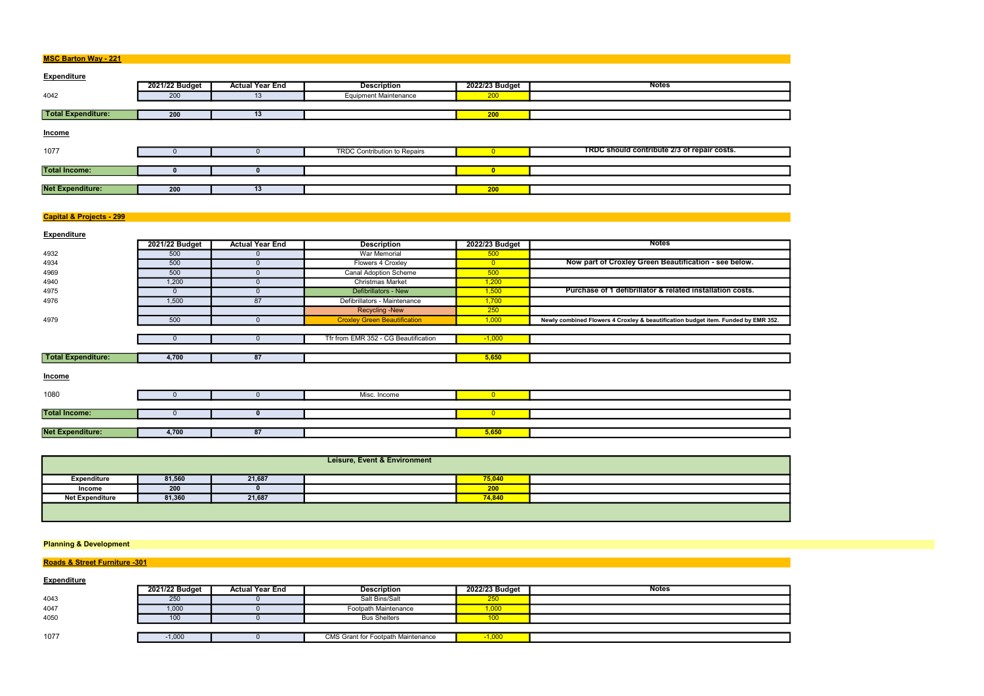| <b>MSC Barton Way - 221</b> |  |
|-----------------------------|--|
|-----------------------------|--|

| <b>MOC DATION WAY - ZZT</b> |                |                        |                                     |                |                                             |
|-----------------------------|----------------|------------------------|-------------------------------------|----------------|---------------------------------------------|
| <b>Expenditure</b>          |                |                        |                                     |                |                                             |
|                             | 2021/22 Budget | <b>Actual Year End</b> | <b>Description</b>                  | 2022/23 Budget | <b>Notes</b>                                |
| 4042                        | 200            | 13                     | <b>Equipment Maintenance</b>        | 200            |                                             |
|                             |                |                        |                                     |                |                                             |
| <b>Total Expenditure:</b>   | 200            | 13                     |                                     | 200            |                                             |
| Income                      |                |                        |                                     |                |                                             |
| 1077                        |                |                        | <b>TRDC Contribution to Repairs</b> |                | TRDC should contribute 2/3 of repair costs. |
|                             |                |                        |                                     |                |                                             |
| <b>Total Income:</b>        |                |                        |                                     |                |                                             |
|                             |                |                        |                                     |                |                                             |
| <b>Net Expenditure:</b>     | 200            | 13                     |                                     | 200            |                                             |
|                             |                |                        |                                     |                |                                             |

# **Capital & Projects - 299**

| <b>Expenditure</b>        |                |                        |                                      |                |                                                                                   |
|---------------------------|----------------|------------------------|--------------------------------------|----------------|-----------------------------------------------------------------------------------|
|                           | 2021/22 Budget | <b>Actual Year End</b> | <b>Description</b>                   | 2022/23 Budget | <b>Notes</b>                                                                      |
| 4932                      | 500            | $\Omega$               | <b>War Memorial</b>                  | 500            |                                                                                   |
| 4934                      | 500            | $\Omega$               | Flowers 4 Croxley                    | $\overline{0}$ | Now part of Croxley Green Beautification - see below.                             |
| 4969                      | 500            |                        | <b>Canal Adoption Scheme</b>         | 500            |                                                                                   |
| 4940                      | 1,200          |                        | <b>Christmas Market</b>              | 1,200          |                                                                                   |
| 4975                      | $\Omega$       | $\Omega$               | Defibrillators - New                 | 1,500          | Purchase of 1 defibrillator & related installation costs.                         |
| 4976                      | 1,500          | 87                     | Defibrillators - Maintenance         | 1,700          |                                                                                   |
|                           |                |                        | <b>Recycling - New</b>               | 250            |                                                                                   |
| 4979                      | 500            | $\Omega$               | <b>Croxley Green Beautification</b>  | 1,000          | Newly combined Flowers 4 Croxley & beautification budget item. Funded by EMR 352. |
|                           |                |                        |                                      |                |                                                                                   |
|                           | $\mathbf{0}$   | $\Omega$               | Tfr from EMR 352 - CG Beautification | $-1,000$       |                                                                                   |
|                           |                |                        |                                      |                |                                                                                   |
| <b>Total Expenditure:</b> | 4,700          | 87                     |                                      | 5,650          |                                                                                   |
|                           |                |                        |                                      |                |                                                                                   |
| <b>Income</b>             |                |                        |                                      |                |                                                                                   |
| 1080                      | $\Omega$       | $\Omega$               | Misc. Income                         | $\overline{0}$ |                                                                                   |
|                           |                |                        |                                      |                |                                                                                   |
| <b>Total Income:</b>      | $\Omega$       |                        |                                      | $\overline{0}$ |                                                                                   |
|                           |                |                        |                                      |                |                                                                                   |
| <b>Net Expenditure:</b>   | 4,700          | 87                     |                                      | 5,650          |                                                                                   |
|                           |                |                        |                                      |                |                                                                                   |

| <b>Leisure, Event &amp; Environment</b> |        |        |  |        |  |  |
|-----------------------------------------|--------|--------|--|--------|--|--|
| Expenditure                             | 81,560 | 21,687 |  | 75,040 |  |  |
| Income                                  | 200    |        |  | 200    |  |  |
| <b>Net Expenditure</b>                  | 81,360 | 21,687 |  | 74,840 |  |  |
|                                         |        |        |  |        |  |  |

## Planning & Development

# Roads & Street Furniture -301

| $1.0440$ $\sigma$ $0.1001$ $1.0111$ |                |                        |                                           |                |              |
|-------------------------------------|----------------|------------------------|-------------------------------------------|----------------|--------------|
| <b>Expenditure</b>                  |                |                        |                                           |                |              |
|                                     | 2021/22 Budget | <b>Actual Year End</b> | <b>Description</b>                        | 2022/23 Budget | <b>Notes</b> |
| 4043                                | 250            |                        | Salt Bins/Salt                            | 250            |              |
| 4047                                | 1,000          |                        | Footpath Maintenance                      | 1,000          |              |
| 4050                                | 100            |                        | <b>Bus Shelters</b>                       |                |              |
|                                     |                |                        |                                           |                |              |
| 1077                                | $-1,000$       |                        | <b>CMS Grant for Footpath Maintenance</b> | $-1,000$       |              |
|                                     |                |                        |                                           |                |              |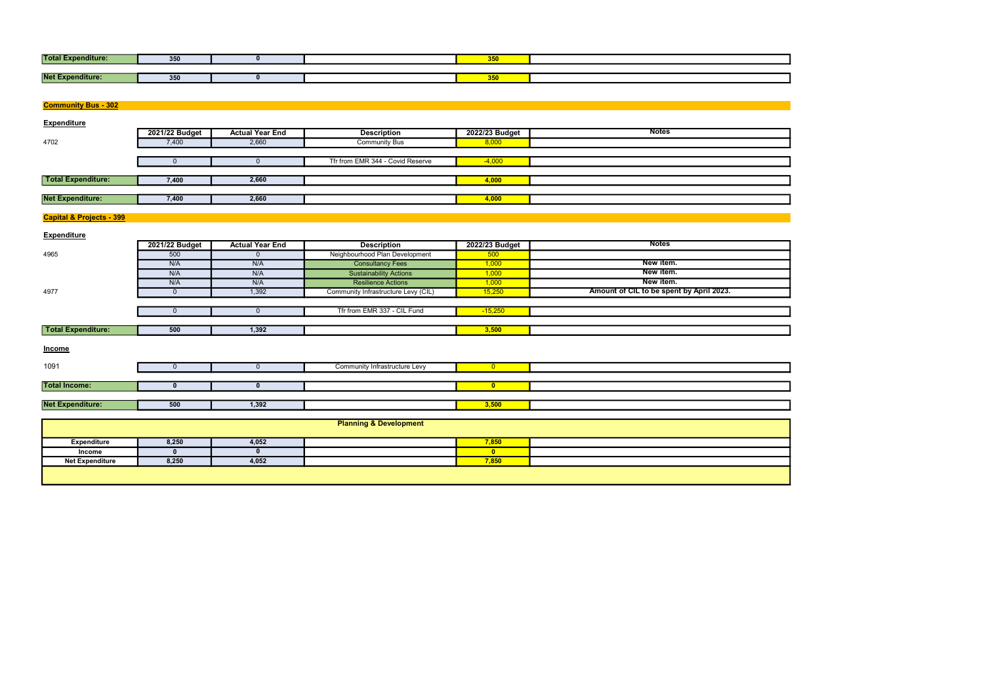| <b>Total F</b><br>diture: | 350 |  | $- - -$<br><u>JJJ</u> |  |
|---------------------------|-----|--|-----------------------|--|
|                           |     |  |                       |  |
| Net Ex<br>enditure:       | 350 |  | $- - -$<br><u>wuu</u> |  |

| <b>Community Bus - 302</b>          |                |                        |                                     |                |                                          |
|-------------------------------------|----------------|------------------------|-------------------------------------|----------------|------------------------------------------|
| <b>Expenditure</b>                  |                |                        |                                     |                |                                          |
|                                     | 2021/22 Budget | <b>Actual Year End</b> | <b>Description</b>                  | 2022/23 Budget | <b>Notes</b>                             |
| 4702                                | 7,400          | 2,660                  | <b>Community Bus</b>                | 8,000          |                                          |
|                                     |                |                        |                                     |                |                                          |
|                                     | $\mathbf 0$    | $\mathbf 0$            | Tfr from EMR 344 - Covid Reserve    | $-4,000$       |                                          |
|                                     |                |                        |                                     |                |                                          |
| <b>Total Expenditure:</b>           | 7,400          | 2,660                  |                                     | 4,000          |                                          |
|                                     |                |                        |                                     |                |                                          |
| <b>Net Expenditure:</b>             | 7,400          | 2,660                  |                                     | 4,000          |                                          |
|                                     |                |                        |                                     |                |                                          |
| <b>Capital &amp; Projects - 399</b> |                |                        |                                     |                |                                          |
|                                     |                |                        |                                     |                |                                          |
| <b>Expenditure</b>                  | 2021/22 Budget | <b>Actual Year End</b> | <b>Description</b>                  | 2022/23 Budget | <b>Notes</b>                             |
| 4965                                | 500            | $\mathbf{0}$           | Neighbourhood Plan Development      | 500            |                                          |
|                                     | N/A            | N/A                    | <b>Consultancy Fees</b>             | 1,000          | New item.                                |
|                                     | N/A            | N/A                    | <b>Sustainability Actions</b>       | 1,000          | New item.                                |
|                                     | N/A            | N/A                    | <b>Resilience Actions</b>           | 1,000          | New item.                                |
| 4977                                | $\mathbf 0$    | 1,392                  | Community Infrastructure Levy (CIL) | 15,250         | Amount of CIL to be spent by April 2023. |
|                                     |                |                        |                                     |                |                                          |
|                                     | $\mathbf 0$    | $\mathbf 0$            | Tfr from EMR 337 - CIL Fund         | $-15,250$      |                                          |
|                                     |                |                        |                                     |                |                                          |
| <b>Total Expenditure:</b>           | 500            | 1,392                  |                                     | 3,500          |                                          |
|                                     |                |                        |                                     |                |                                          |
| Income                              |                |                        |                                     |                |                                          |
|                                     |                |                        |                                     |                |                                          |
| 1091                                | $\mathbf{0}$   | $\mathbf{0}$           | Community Infrastructure Levy       | $\overline{0}$ |                                          |
|                                     |                |                        |                                     |                |                                          |
| <b>Total Income:</b>                | $\mathbf{0}$   | $\mathbf{0}$           |                                     | $\bullet$      |                                          |
|                                     |                |                        |                                     |                |                                          |
| <b>Net Expenditure:</b>             | 500            | 1,392                  |                                     | 3,500          |                                          |
|                                     |                |                        |                                     |                |                                          |
|                                     |                |                        | <b>Planning &amp; Development</b>   |                |                                          |
| <b>Expenditure</b>                  | 8,250          | 4,052                  |                                     | 7,850          |                                          |
| Income                              | $\mathbf{0}$   | $\mathbf{0}$           |                                     | $\bullet$      |                                          |
| <b>Net Expenditure</b>              | 8,250          | 4,052                  |                                     | 7,850          |                                          |

| <b>Contract Contract Contract Contract Contract Contract Contract Contract Contract Contract Contract Contract C</b> |  |
|----------------------------------------------------------------------------------------------------------------------|--|
|                                                                                                                      |  |
|                                                                                                                      |  |
|                                                                                                                      |  |
|                                                                                                                      |  |
|                                                                                                                      |  |
|                                                                                                                      |  |
|                                                                                                                      |  |
|                                                                                                                      |  |
|                                                                                                                      |  |
|                                                                                                                      |  |
|                                                                                                                      |  |
|                                                                                                                      |  |
|                                                                                                                      |  |
|                                                                                                                      |  |
|                                                                                                                      |  |
|                                                                                                                      |  |
|                                                                                                                      |  |
|                                                                                                                      |  |
|                                                                                                                      |  |
|                                                                                                                      |  |
|                                                                                                                      |  |
|                                                                                                                      |  |
|                                                                                                                      |  |
|                                                                                                                      |  |
|                                                                                                                      |  |
|                                                                                                                      |  |
|                                                                                                                      |  |
|                                                                                                                      |  |
|                                                                                                                      |  |
|                                                                                                                      |  |
|                                                                                                                      |  |
|                                                                                                                      |  |
|                                                                                                                      |  |
|                                                                                                                      |  |
|                                                                                                                      |  |
|                                                                                                                      |  |